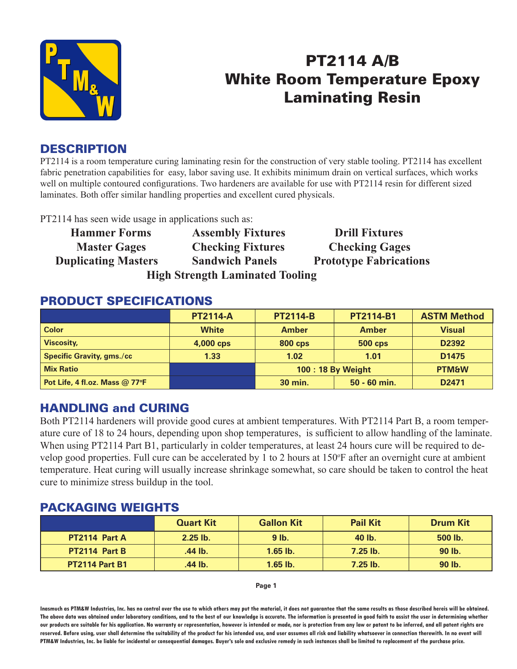

## PT2114 A/B White Room Temperature Epoxy Laminating Resin

### **DESCRIPTION**

PT2114 is a room temperature curing laminating resin for the construction of very stable tooling. PT2114 has excellent fabric penetration capabilities for easy, labor saving use. It exhibits minimum drain on vertical surfaces, which works well on multiple contoured configurations. Two hardeners are available for use with PT2114 resin for different sized laminates. Both offer similar handling properties and excellent cured physicals.

PT2114 has seen wide usage in applications such as:

| <b>Hammer Forms</b>                    | <b>Assembly Fixtures</b> | <b>Drill Fixtures</b>         |  |  |  |  |
|----------------------------------------|--------------------------|-------------------------------|--|--|--|--|
| <b>Master Gages</b>                    | <b>Checking Fixtures</b> | <b>Checking Gages</b>         |  |  |  |  |
| <b>Duplicating Masters</b>             | <b>Sandwich Panels</b>   | <b>Prototype Fabrications</b> |  |  |  |  |
| <b>High Strength Laminated Tooling</b> |                          |                               |  |  |  |  |

#### PRODUCT SPECIFICATIONS

|                                  | <b>PT2114-A</b> | <b>PT2114-B</b>   | <b>PT2114-B1</b> | <b>ASTM Method</b> |
|----------------------------------|-----------------|-------------------|------------------|--------------------|
| <b>Color</b>                     | <b>White</b>    | <b>Amber</b>      | <b>Amber</b>     | <b>Visual</b>      |
| <b>Viscosity,</b>                | 4,000 cps       | <b>800 cps</b>    | <b>500 cps</b>   | D2392              |
| <b>Specific Gravity, gms./cc</b> | 1.33            | 1.02              | 1.01             | D <sub>1475</sub>  |
| <b>Mix Ratio</b>                 |                 | 100: 18 By Weight |                  | <b>PTM&amp;W</b>   |
| Pot Life, 4 fl.oz. Mass $@$ 77°F |                 | 30 min.           | $50 - 60$ min.   | D <sub>2471</sub>  |

#### HANDLING and CURING

Both PT2114 hardeners will provide good cures at ambient temperatures. With PT2114 Part B, a room temperature cure of 18 to 24 hours, depending upon shop temperatures, is sufficient to allow handling of the laminate. When using PT2114 Part B1, particularly in colder temperatures, at least 24 hours cure will be required to develop good properties. Full cure can be accelerated by 1 to 2 hours at 150°F after an overnight cure at ambient temperature. Heat curing will usually increase shrinkage somewhat, so care should be taken to control the heat cure to minimize stress buildup in the tool.

#### PACKAGING WEIGHTS

|                       | <b>Quart Kit</b> | <b>Gallon Kit</b> | <b>Pail Kit</b> | <b>Drum Kit</b> |
|-----------------------|------------------|-------------------|-----------------|-----------------|
| PT2114 Part A         | $2.25$ lb.       | $9$ lb.           | 40 lb.          | 500 lb.         |
| PT2114 Part B         | .44 lb.          | $1.65$ lb.        | $7.25$ lb.      | 90 lb.          |
| <b>PT2114 Part B1</b> | .44 lb.          | $1.65$ lb.        | $7.25$ lb.      | 90 lb.          |

**Page 1**

**Inasmuch as PTM&W Industries, Inc. has no control over the use to which others may put the material, it does not guarantee that the same results as those described hereis will be obtained. The above data was obtained under laboratory conditions, and to the best of our knowledge is accurate. The information is presented in good faith to assist the user in determining whether our products are suitable for his application. No warranty or representation, however is intended or made, nor is protection from any law or patent to be inferred, and all patent rights are**  reserved. Before using, user shall determine the suitability of the product for his intended use, and user assumes all risk and liability whatsoever in connection therewith. In no event will **PTM&W Industries, Inc. be liable for incidental or consequential damages. Buyer's sole and exclusive remedy in such instances shall be limited to replacement of the purchase price.**